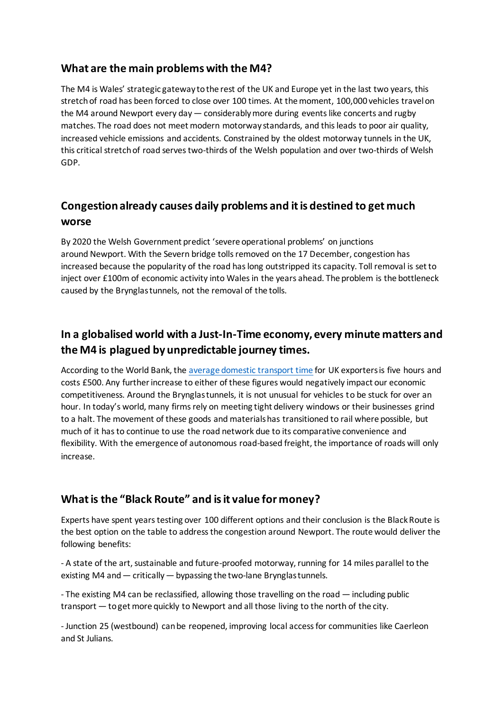### **What are the main problems with the M4?**

The M4 is Wales' strategic gateway to the rest of the UK and Europe yet in the last two years, this stretch of road has been forced to close over 100 times. At the moment, 100,000 vehicles travel on the M4 around Newport every day — considerably more during events like concerts and rugby matches. The road does not meet modern motorway standards, and this leads to poor air quality, increased vehicle emissions and accidents. Constrained by the oldest motorway tunnels in the UK, this critical stretch of road serves two-thirds of the Welsh population and over two-thirds of Welsh GDP.

# **Congestion already causes daily problems and it is destined to get much worse**

By 2020 the Welsh Government predict 'severe operational problems' on junctions around Newport. With the Severn bridge tolls removed on the 17 December, congestion has increased because the popularity of the road has long outstripped its capacity. Toll removal is set to inject over £100m of economic activity into Wales in the years ahead. The problem is the bottleneck caused by the Brynglas tunnels, not the removal of the tolls.

# **In a globalised world with a Just-In-Time economy, every minute matters and the M4 is plagued by unpredictable journey times.**

According to the World Bank, the [average domestic transport time](http://www.doingbusiness.org/content/dam/doingBusiness/media/Annual-Reports/English/DB2018-Full-Report.pdf) for UK exporters is five hours and costs £500. Any further increase to either of these figures would negatively impact our economic competitiveness. Around the Brynglas tunnels, it is not unusual for vehicles to be stuck for over an hour. In today's world, many firms rely on meeting tight delivery windows or their businesses grind to a halt. The movement of these goods and materials has transitioned to rail where possible, but much of it has to continue to use the road network due to its comparative convenience and flexibility. With the emergence of autonomous road-based freight, the importance of roads will only increase.

### **What is the "Black Route" and is it value for money?**

Experts have spent years testing over 100 different options and their conclusion is the Black Route is the best option on the table to address the congestion around Newport. The route would deliver the following benefits:

- A state of the art, sustainable and future-proofed motorway, running for 14 miles parallel to the existing M4 and — critically — bypassing the two-lane Brynglas tunnels.

- The existing M4 can be reclassified, allowing those travelling on the road — including public transport — to get more quickly to Newport and all those living to the north of the city.

- Junction 25 (westbound) can be reopened, improving local access for communities like Caerleon and St Julians.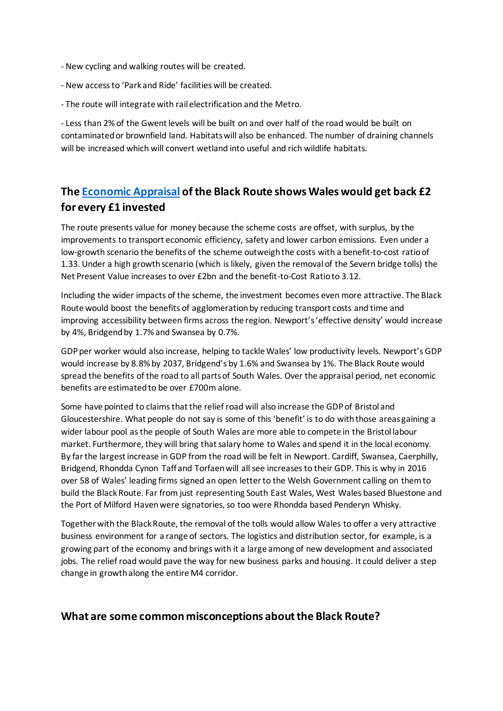- New cycling and walking routes will be created.
- New access to 'Park and Ride' facilities will be created.
- The route will integrate with rail electrification and the Metro.

- Less than 2% of the Gwent levels will be built on and over half of the road would be built on contaminated or brownfield land. Habitats will also be enhanced. The number of draining channels will be increased which will convert wetland into useful and rich wildlife habitats.

## **The [Economic Appraisal](https://gov.wales/docs/det/report/160310-m4-economic-assessment-report.pdf) of the Black Route shows Wales would get back £2 for every £1 invested**

The route presents value for money because the scheme costs are offset, with surplus, by the improvements to transport economic efficiency, safety and lower carbon emissions. Even under a low-growth scenario the benefits of the scheme outweigh the costs with a benefit-to-cost ratio of 1.33. Under a high growth scenario (which islikely, given the removal of the Severn bridge tolls) the Net Present Value increases to over £2bn and the benefit-to-Cost Ratio to 3.12.

Including the wider impacts of the scheme, the investment becomes even more attractive. The Black Route would boost the benefits of agglomeration by reducing transport costs and time and improving accessibility between firms across the region. Newport's 'effective density' would increase by 4%, Bridgend by 1.7% and Swansea by 0.7%.

GDP per worker would also increase, helping to tackle Wales' low productivity levels. Newport's GDP would increase by 8.8% by 2037, Bridgend's by 1.6% and Swansea by 1%. The Black Route would spread the benefits of the road to all parts of South Wales. Over the appraisal period, net economic benefits are estimated to be over £700m alone.

Some have pointed to claims that the relief road will also increase the GDP of Bristol and Gloucestershire. What people do not say is some of this 'benefit' is to do with those areas gaining a wider labour pool as the people of South Wales are more able to compete in the Bristol labour market. Furthermore, they will bring that salary home to Wales and spend it in the local economy. By far the largest increase in GDP from the road will be felt in Newport. Cardiff, Swansea, Caerphilly, Bridgend, Rhondda Cynon Taff and Torfaen will all see increases to their GDP. This is why in 2016 over 58 of Wales' leading firms signed an [open letter](https://www.walesonline.co.uk/business/business-news/welsh-business-message-politicians-deliver-10827523)to the Welsh Government calling on them to build the Black Route. Far from just representing South East Wales, West Wales based Bluestone and the Port of Milford Haven were signatories, so too were Rhondda based Penderyn Whisky.

Together with the Black Route, the removal of the tolls would allow Wales to offer a very attractive business environment for a range of sectors. The logistics and distribution sector, for example, is a growing part of the economy and brings with it a large among of new development and associated jobs. The relief road would pave the way for new business parks and housing. It could deliver a step change in growth along the entire M4 corridor.

#### **What are some common misconceptions about the Black Route?**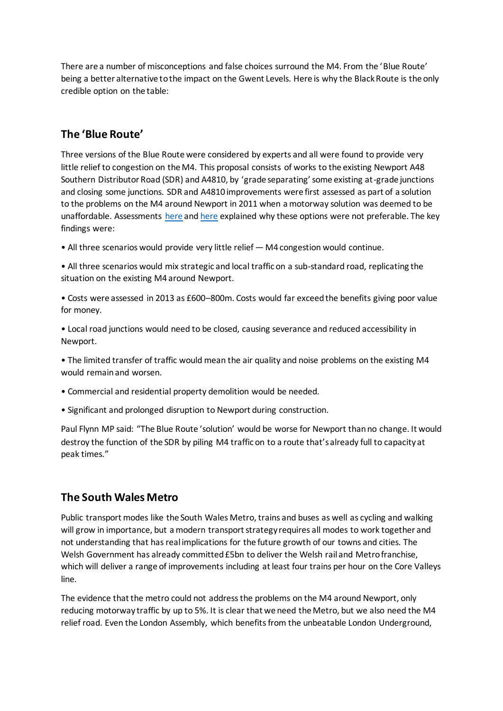There are a number of misconceptions and false choices surround the M4. From the 'Blue Route' being a better alternative to the impact on the Gwent Levels. Here is why the Black Route is the only credible option on the table:

#### **The 'Blue Route'**

Three versions of the Blue Route were considered by experts and all were found to provide very little relief to congestion on the M4. This proposal consists of works to the existing Newport A48 Southern Distributor Road (SDR) and A4810, by 'grade separating' some existing at-grade junctions and closing some junctions. SDR and A4810 improvements were first assessed as part of a solution to the problems on the M4 around Newport in 2011 when a motorway solution was deemed to be unaffordable. Assessments [here](http://www.m4cem.com/downloads/reports/Issue%20WelTAG%20Stage%201%20Appraisal%20Report%20March%202013%20signed.pdf) and here explained why these options were not preferable. The key findings were:

• All three scenarios would provide very little relief – M4 congestion would continue.

• All three scenarios would mix strategic and local traffic on a sub-standard road, replicating the situation on the existing M4 around Newport.

• Costs were assessed in 2013 as £600–800m. Costs would far exceed the benefits giving poor value for money.

• Local road junctions would need to be closed, causing severance and reduced accessibility in Newport.

• The limited transfer of traffic would mean the air quality and noise problems on the existing M4 would remain and worsen.

- Commercial and residential property demolition would be needed.
- Significant and prolonged disruption to Newport during construction.

Paul Flynn MP said: "The Blue Route 'solution' would be worse for Newport than no change. It would destroy the function of the SDR by piling M4 traffic on to a route that's already full to capacity at peak times."

#### **The South Wales Metro**

Public transport modes like the South Wales Metro, trains and buses as well as cycling and walking will grow in importance, but a modern transport strategy requires all modes to work together and not understanding that has real implications for the future growth of our towns and cities. The Welsh Government has already committed £5bn to deliver the Welsh rail and Metro franchise, which will deliver a range of improvements including at least four trains per hour on the Core Valleys line.

The evidence that the metro could not address the problems on the M4 around Newport, only reducing motorway traffic by up to 5%. It is clear that we need the Metro, but we also need the M4 relief road. Even the London Assembly, which benefits from the unbeatable London Underground,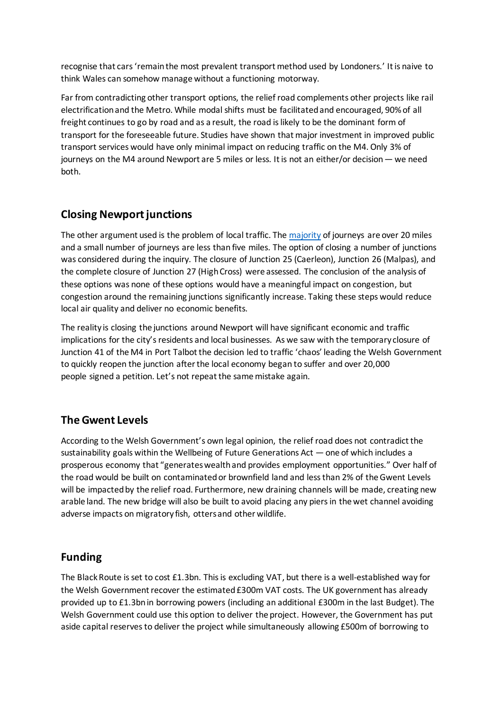recognise that cars 'remain the most prevalent transport method used by Londoners.' It is naive to think Wales can somehow manage without a functioning motorway.

Far from contradicting other transport options, the relief road complements other projects like rail electrification and the Metro. While modal shifts must be facilitated and encouraged, 90% of all freight continues to go by road and as a result, the road is likely to be the dominant form of transport for the foreseeable future. Studies have shown that major investment in improved public transport services would have only minimal impact on reducing traffic on the M4. Only 3% of journeys on the M4 around Newport are 5 miles or less. It is not an either/or decision — we need both.

### **Closing Newport junctions**

The other argument used is the problem of local traffic. The [majority](https://beta.gov.wales/sites/default/files/consultations/2018-01/130923m4consen.pdf) of journeys are over 20 miles and a small number of journeys are less than five miles. The option of closing a number of junctions was considered during the inquiry. The closure of Junction 25 (Caerleon), Junction 26 (Malpas), and the complete closure of Junction 27 (High Cross) were assessed. The conclusion of the analysis of these options was none of these options would have a meaningful impact on congestion, but congestion around the remaining junctions significantly increase. Taking these steps would reduce local air quality and deliver no economic benefits.

The reality is closing the junctions around Newport will have significant economic and traffic implications for the city's residents and local businesses. As we saw with the temporary closure of Junction 41 of the M4 in Port Talbot the decision led to traffic 'chaos' leading the Welsh Government to quickly reopen the junction after the local economy began to suffer and over 20,000 people signed a petition. Let's not repeat the same mistake again.

### **The Gwent Levels**

According to the Welsh Government's own legal opinion, the relief road does not contradict the sustainability goals within the Wellbeing of Future Generations Act — one of which includes a prosperous economy that "generates wealth and provides employment opportunities." Over half of the road would be built on contaminated or brownfield land and less than 2% of the Gwent Levels will be impacted by the relief road. Furthermore, new draining channels will be made, creating new arable land. The new bridge will also be built to avoid placing any piers in the wet channel avoiding adverse impacts on migratory fish, otters and other wildlife.

### **Funding**

The Black Route is set to cost £1.3bn. This is excluding VAT, but there is a well-established way for the Welsh Government recover the estimated £300m VAT costs. The UK government has already provided up to £1.3bn in borrowing powers (including an additional £300m in the last Budget). The Welsh Government could use this option to deliver the project. However, the Government has put aside capital reserves to deliver the project while simultaneously allowing £500m of borrowing to